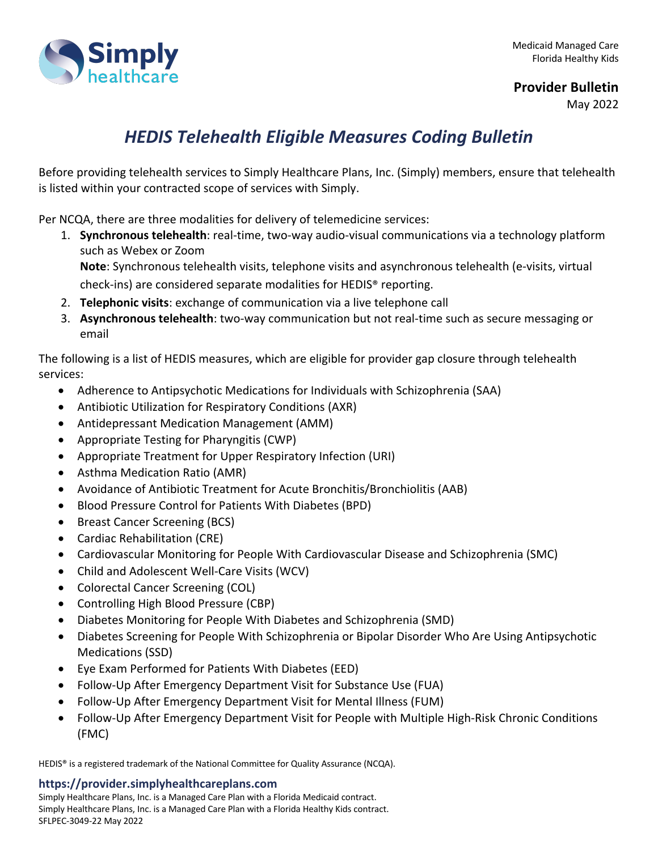

## **Provider Bulletin**

May 2022

## *HEDIS Telehealth Eligible Measures Coding Bulletin*

Before providing telehealth services to Simply Healthcare Plans, Inc. (Simply) members, ensure that telehealth is listed within your contracted scope of services with Simply.

Per NCQA, there are three modalities for delivery of telemedicine services:

1. **Synchronous telehealth**: real-time, two-way audio-visual communications via a technology platform such as Webex or Zoom **Note**: Synchronous telehealth visits, telephone visits and asynchronous telehealth (e-visits, virtual

check-ins) are considered separate modalities for HEDIS® reporting.

- 2. **Telephonic visits**: exchange of communication via a live telephone call
- 3. **Asynchronous telehealth**: two-way communication but not real-time such as secure messaging or email

The following is a list of HEDIS measures, which are eligible for provider gap closure through telehealth services:

- Adherence to Antipsychotic Medications for Individuals with Schizophrenia (SAA)
- Antibiotic Utilization for Respiratory Conditions (AXR)
- Antidepressant Medication Management (AMM)
- Appropriate Testing for Pharyngitis (CWP)
- Appropriate Treatment for Upper Respiratory Infection (URI)
- Asthma Medication Ratio (AMR)
- Avoidance of Antibiotic Treatment for Acute Bronchitis/Bronchiolitis (AAB)
- Blood Pressure Control for Patients With Diabetes (BPD)
- Breast Cancer Screening (BCS)
- Cardiac Rehabilitation (CRE)
- Cardiovascular Monitoring for People With Cardiovascular Disease and Schizophrenia (SMC)
- Child and Adolescent Well-Care Visits (WCV)
- Colorectal Cancer Screening (COL)
- Controlling High Blood Pressure (CBP)
- Diabetes Monitoring for People With Diabetes and Schizophrenia (SMD)
- Diabetes Screening for People With Schizophrenia or Bipolar Disorder Who Are Using Antipsychotic Medications (SSD)
- Eye Exam Performed for Patients With Diabetes (EED)
- Follow-Up After Emergency Department Visit for Substance Use (FUA)
- Follow-Up After Emergency Department Visit for Mental Illness (FUM)
- Follow-Up After Emergency Department Visit for People with Multiple High-Risk Chronic Conditions (FMC)

HEDIS® is a registered trademark of the National Committee for Quality Assurance (NCQA).

## **https://provider.simplyhealthcareplans.com**

Simply Healthcare Plans, Inc. is a Managed Care Plan with a Florida Medicaid contract. Simply Healthcare Plans, Inc. is a Managed Care Plan with a Florida Healthy Kids contract. SFLPEC-3049-22 May 2022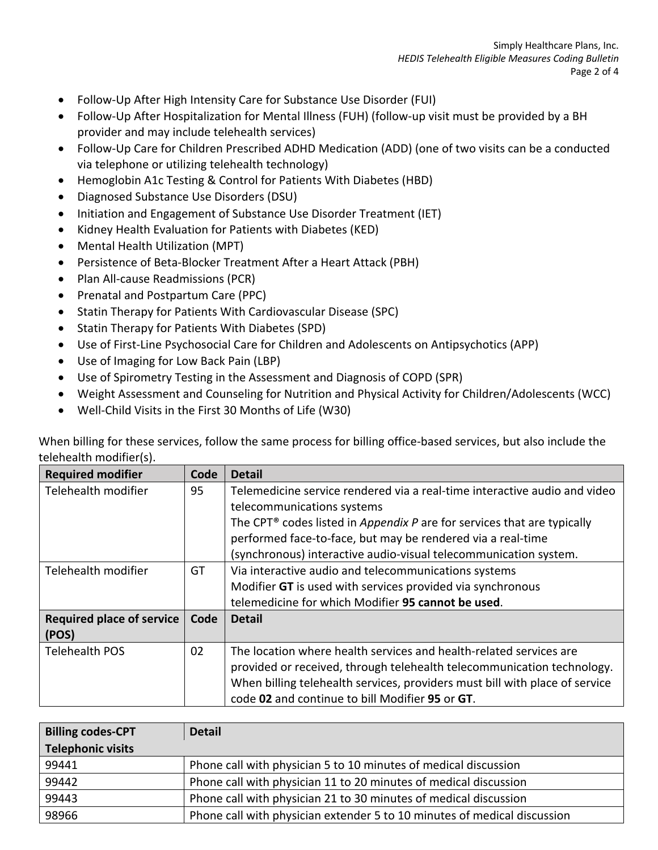- Follow-Up After High Intensity Care for Substance Use Disorder (FUI)
- Follow-Up After Hospitalization for Mental Illness (FUH) (follow-up visit must be provided by a BH provider and may include telehealth services)
- Follow-Up Care for Children Prescribed ADHD Medication (ADD) (one of two visits can be a conducted via telephone or utilizing telehealth technology)
- Hemoglobin A1c Testing & Control for Patients With Diabetes (HBD)
- Diagnosed Substance Use Disorders (DSU)
- Initiation and Engagement of Substance Use Disorder Treatment (IET)
- Kidney Health Evaluation for Patients with Diabetes (KED)
- Mental Health Utilization (MPT)
- Persistence of Beta-Blocker Treatment After a Heart Attack (PBH)
- Plan All-cause Readmissions (PCR)
- Prenatal and Postpartum Care (PPC)
- Statin Therapy for Patients With Cardiovascular Disease (SPC)
- Statin Therapy for Patients With Diabetes (SPD)
- Use of First-Line Psychosocial Care for Children and Adolescents on Antipsychotics (APP)
- Use of Imaging for Low Back Pain (LBP)
- Use of Spirometry Testing in the Assessment and Diagnosis of COPD (SPR)
- Weight Assessment and Counseling for Nutrition and Physical Activity for Children/Adolescents (WCC)
- Well-Child Visits in the First 30 Months of Life (W30)

When billing for these services, follow the same process for billing office-based services, but also include the telehealth modifier(s).

| <b>Required modifier</b>                  | Code | <b>Detail</b>                                                                                                                                                                                                                                                                                                                     |
|-------------------------------------------|------|-----------------------------------------------------------------------------------------------------------------------------------------------------------------------------------------------------------------------------------------------------------------------------------------------------------------------------------|
| Telehealth modifier                       | 95   | Telemedicine service rendered via a real-time interactive audio and video<br>telecommunications systems<br>The CPT <sup>®</sup> codes listed in Appendix P are for services that are typically<br>performed face-to-face, but may be rendered via a real-time<br>(synchronous) interactive audio-visual telecommunication system. |
| Telehealth modifier                       | GT   | Via interactive audio and telecommunications systems<br>Modifier GT is used with services provided via synchronous<br>telemedicine for which Modifier 95 cannot be used.                                                                                                                                                          |
| <b>Required place of service</b><br>(POS) | Code | <b>Detail</b>                                                                                                                                                                                                                                                                                                                     |
| <b>Telehealth POS</b>                     | 02   | The location where health services and health-related services are<br>provided or received, through telehealth telecommunication technology.<br>When billing telehealth services, providers must bill with place of service<br>code 02 and continue to bill Modifier 95 or GT.                                                    |

| <b>Billing codes-CPT</b> | <b>Detail</b>                                                            |  |
|--------------------------|--------------------------------------------------------------------------|--|
| <b>Telephonic visits</b> |                                                                          |  |
| 99441                    | Phone call with physician 5 to 10 minutes of medical discussion          |  |
| 99442                    | Phone call with physician 11 to 20 minutes of medical discussion         |  |
| 99443                    | Phone call with physician 21 to 30 minutes of medical discussion         |  |
| 98966                    | Phone call with physician extender 5 to 10 minutes of medical discussion |  |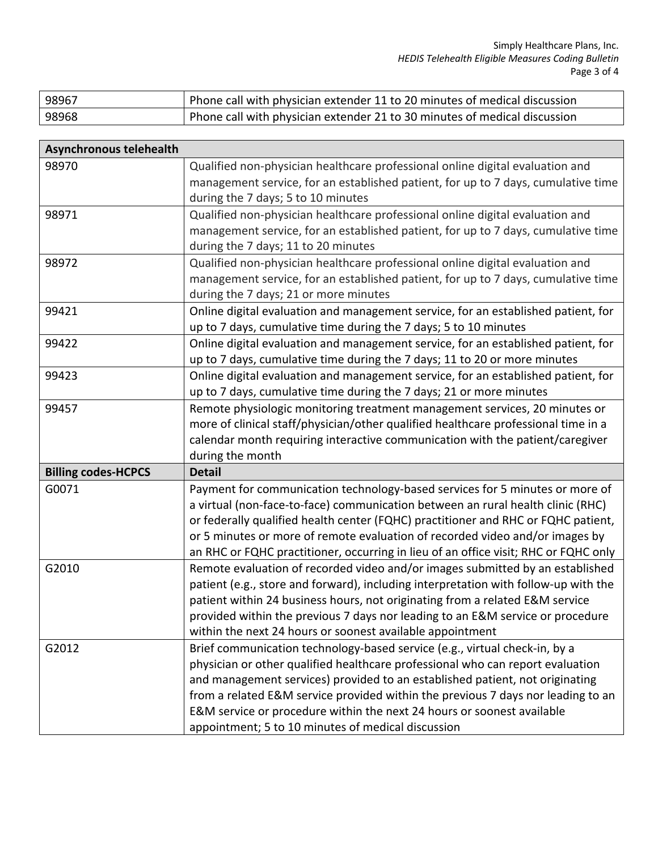| 98967 | Phone call with physician extender 11 to 20 minutes of medical discussion |
|-------|---------------------------------------------------------------------------|
| 98968 | Phone call with physician extender 21 to 30 minutes of medical discussion |

| Asynchronous telehealth    |                                                                                                                              |
|----------------------------|------------------------------------------------------------------------------------------------------------------------------|
| 98970                      | Qualified non-physician healthcare professional online digital evaluation and                                                |
|                            | management service, for an established patient, for up to 7 days, cumulative time                                            |
|                            | during the 7 days; 5 to 10 minutes                                                                                           |
| 98971                      | Qualified non-physician healthcare professional online digital evaluation and                                                |
|                            | management service, for an established patient, for up to 7 days, cumulative time                                            |
|                            | during the 7 days; 11 to 20 minutes                                                                                          |
| 98972                      | Qualified non-physician healthcare professional online digital evaluation and                                                |
|                            | management service, for an established patient, for up to 7 days, cumulative time                                            |
|                            | during the 7 days; 21 or more minutes                                                                                        |
| 99421                      | Online digital evaluation and management service, for an established patient, for                                            |
|                            | up to 7 days, cumulative time during the 7 days; 5 to 10 minutes                                                             |
| 99422                      | Online digital evaluation and management service, for an established patient, for                                            |
|                            | up to 7 days, cumulative time during the 7 days; 11 to 20 or more minutes                                                    |
| 99423                      | Online digital evaluation and management service, for an established patient, for                                            |
|                            | up to 7 days, cumulative time during the 7 days; 21 or more minutes                                                          |
| 99457                      | Remote physiologic monitoring treatment management services, 20 minutes or                                                   |
|                            | more of clinical staff/physician/other qualified healthcare professional time in a                                           |
|                            | calendar month requiring interactive communication with the patient/caregiver                                                |
|                            | during the month                                                                                                             |
| <b>Billing codes-HCPCS</b> | <b>Detail</b>                                                                                                                |
| G0071                      | Payment for communication technology-based services for 5 minutes or more of                                                 |
|                            | a virtual (non-face-to-face) communication between an rural health clinic (RHC)                                              |
|                            | or federally qualified health center (FQHC) practitioner and RHC or FQHC patient,                                            |
|                            | or 5 minutes or more of remote evaluation of recorded video and/or images by                                                 |
|                            | an RHC or FQHC practitioner, occurring in lieu of an office visit; RHC or FQHC only                                          |
| G2010                      |                                                                                                                              |
|                            | Remote evaluation of recorded video and/or images submitted by an established                                                |
|                            | patient (e.g., store and forward), including interpretation with follow-up with the                                          |
|                            | patient within 24 business hours, not originating from a related E&M service                                                 |
|                            | provided within the previous 7 days nor leading to an E&M service or procedure                                               |
|                            | within the next 24 hours or soonest available appointment                                                                    |
| G2012                      | Brief communication technology-based service (e.g., virtual check-in, by a                                                   |
|                            | physician or other qualified healthcare professional who can report evaluation                                               |
|                            | and management services) provided to an established patient, not originating                                                 |
|                            | from a related E&M service provided within the previous 7 days nor leading to an                                             |
|                            | E&M service or procedure within the next 24 hours or soonest available<br>appointment; 5 to 10 minutes of medical discussion |